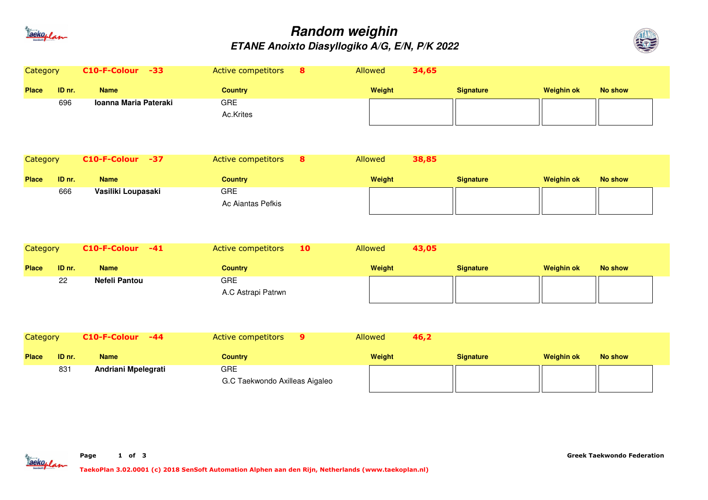

## **Random weighinETANE Anoixto Diasyllogiko A/G, E/N, P/K 2022**



| Category     |        | $C10-F-Colour -33$         | Active competitors<br>8                      | Allowed | 34,65 |                  |                   |                |  |
|--------------|--------|----------------------------|----------------------------------------------|---------|-------|------------------|-------------------|----------------|--|
| <b>Place</b> | ID nr. | <b>Name</b>                | <b>Country</b>                               | Weight  |       | <b>Signature</b> | <b>Weighin ok</b> | <b>No show</b> |  |
|              | 696    | Ioanna Maria Pateraki      | <b>GRE</b><br>Ac.Krites                      |         |       |                  |                   |                |  |
| Category     |        | C10-F-Colour -37           | Active competitors<br>8                      | Allowed | 38,85 |                  |                   |                |  |
| <b>Place</b> | ID nr. | <b>Name</b>                | <b>Country</b>                               | Weight  |       | <b>Signature</b> | <b>Weighin ok</b> | <b>No show</b> |  |
|              | 666    | Vasiliki Loupasaki         | <b>GRE</b><br>Ac Aiantas Pefkis              |         |       |                  |                   |                |  |
| Category     |        | C10-F-Colour<br>$-41$      | Active competitors<br>10                     | Allowed | 43,05 |                  |                   |                |  |
| <b>Place</b> | ID nr. | <b>Name</b>                | <b>Country</b>                               | Weight  |       | <b>Signature</b> | <b>Weighin ok</b> | <b>No show</b> |  |
|              | 22     | Nefeli Pantou              | <b>GRE</b><br>A.C Astrapi Patrwn             |         |       |                  |                   |                |  |
| Category     |        | C10-F-Colour<br>$-44$      | Active competitors<br>9                      | Allowed | 46,2  |                  |                   |                |  |
| <b>Place</b> | ID nr. | <b>Name</b>                | <b>Country</b>                               | Weight  |       | <b>Signature</b> | <b>Weighin ok</b> | <b>No show</b> |  |
|              | 831    | <b>Andriani Mpelegrati</b> | <b>GRE</b><br>G.C Taekwondo Axilleas Aigaleo |         |       |                  |                   |                |  |

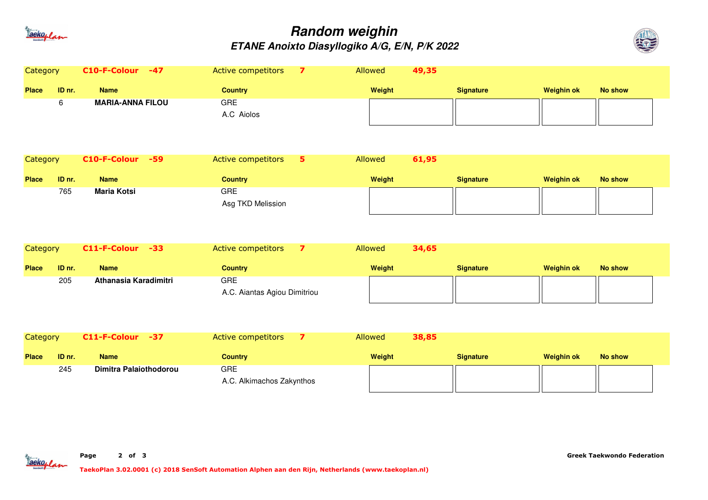

## **Random weighinETANE Anoixto Diasyllogiko A/G, E/N, P/K 2022**



| Category        |        | C10-F-Colour -47              | Active competitors                         | 7                       | Allowed<br>49,35 |                  |                   |                |  |
|-----------------|--------|-------------------------------|--------------------------------------------|-------------------------|------------------|------------------|-------------------|----------------|--|
| <b>Place</b>    | ID nr. | <b>Name</b>                   | <b>Country</b>                             |                         | Weight           | <b>Signature</b> | <b>Weighin ok</b> | <b>No show</b> |  |
|                 | 6      | <b>MARIA-ANNA FILOU</b>       | <b>GRE</b><br>A.C Aiolos                   |                         |                  |                  |                   |                |  |
| <b>Category</b> |        | C10-F-Colour<br>$-59$         | Active competitors                         | 5                       | 61,95<br>Allowed |                  |                   |                |  |
| <b>Place</b>    | ID nr. | <b>Name</b>                   | <b>Country</b>                             |                         | Weight           | <b>Signature</b> | <b>Weighin ok</b> | <b>No show</b> |  |
|                 | 765    | <b>Maria Kotsi</b>            | <b>GRE</b><br>Asg TKD Melission            |                         |                  |                  |                   |                |  |
| Category        |        | C11-F-Colour -33              | Active competitors                         | $\overline{\mathbf{z}}$ | 34,65<br>Allowed |                  |                   |                |  |
| <b>Place</b>    | ID nr. | <b>Name</b>                   | <b>Country</b>                             |                         | Weight           | <b>Signature</b> | <b>Weighin ok</b> | <b>No show</b> |  |
|                 | 205    | Athanasia Karadimitri         | <b>GRE</b><br>A.C. Aiantas Agiou Dimitriou |                         |                  |                  |                   |                |  |
| <b>Category</b> |        | C11-F-Colour -37              | Active competitors                         | $\overline{\mathbf{z}}$ | 38,85<br>Allowed |                  |                   |                |  |
| <b>Place</b>    | ID nr. | <b>Name</b>                   | <b>Country</b>                             |                         | Weight           | <b>Signature</b> | <b>Weighin ok</b> | <b>No show</b> |  |
|                 | 245    | <b>Dimitra Palaiothodorou</b> | <b>GRE</b>                                 |                         |                  |                  |                   |                |  |

aekoplan

A.C. Alkimachos Zakynthos